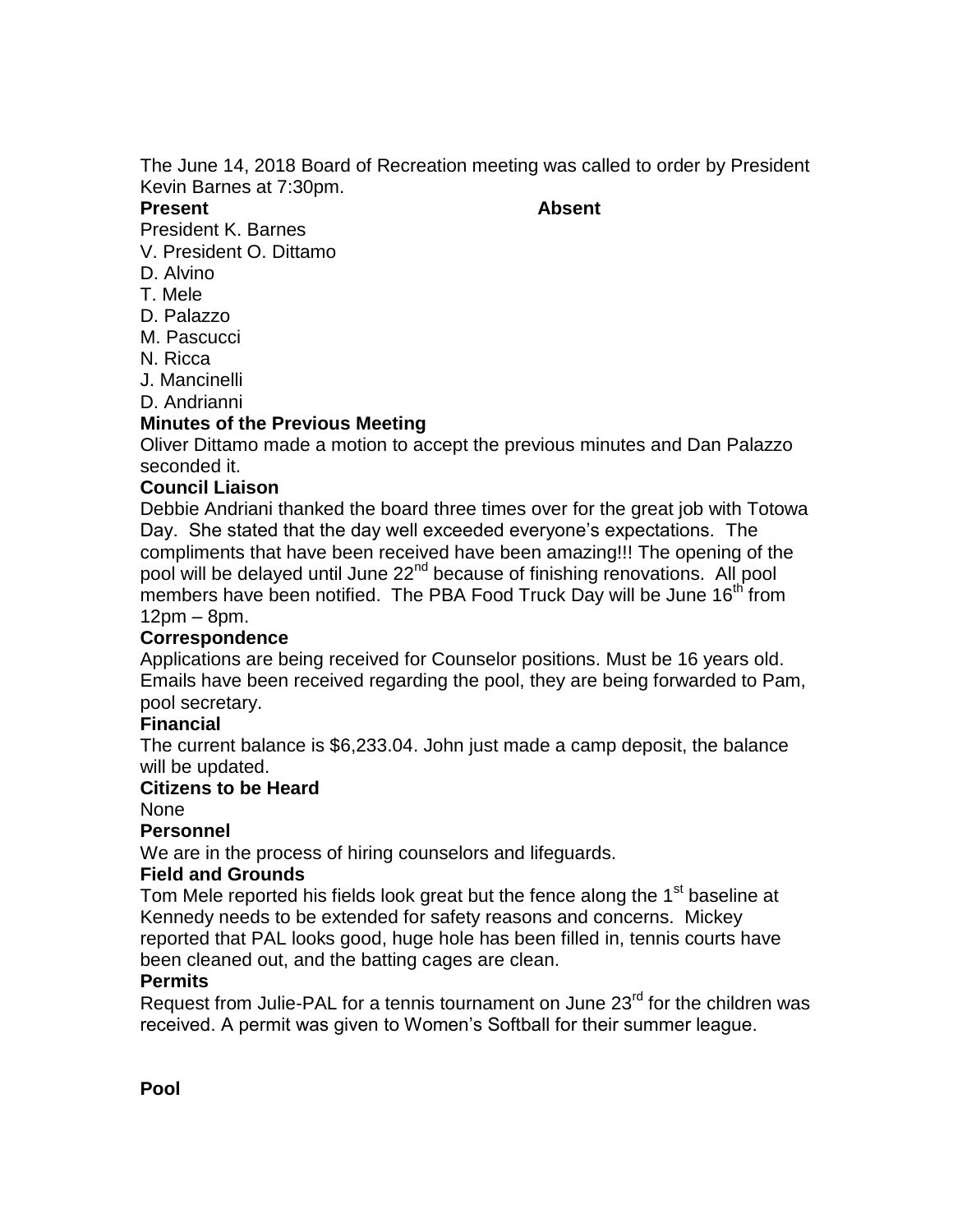The June 14, 2018 Board of Recreation meeting was called to order by President Kevin Barnes at 7:30pm.

#### **Present Absent**

President K. Barnes

- V. President O. Dittamo
- D. Alvino
- T. Mele
- D. Palazzo
- M. Pascucci
- N. Ricca
- J. Mancinelli
- D. Andrianni

## **Minutes of the Previous Meeting**

Oliver Dittamo made a motion to accept the previous minutes and Dan Palazzo seconded it.

## **Council Liaison**

Debbie Andriani thanked the board three times over for the great job with Totowa Day. She stated that the day well exceeded everyone's expectations. The compliments that have been received have been amazing!!! The opening of the pool will be delayed until June 22<sup>nd</sup> because of finishing renovations. All pool members have been notified. The PBA Food Truck Day will be June 16<sup>th</sup> from 12pm – 8pm.

## **Correspondence**

Applications are being received for Counselor positions. Must be 16 years old. Emails have been received regarding the pool, they are being forwarded to Pam, pool secretary.

### **Financial**

The current balance is \$6,233.04. John just made a camp deposit, the balance will be updated.

### **Citizens to be Heard**

None

## **Personnel**

We are in the process of hiring counselors and lifeguards.

### **Field and Grounds**

Tom Mele reported his fields look great but the fence along the 1<sup>st</sup> baseline at Kennedy needs to be extended for safety reasons and concerns. Mickey reported that PAL looks good, huge hole has been filled in, tennis courts have been cleaned out, and the batting cages are clean.

## **Permits**

Request from Julie-PAL for a tennis tournament on June 23<sup>rd</sup> for the children was received. A permit was given to Women's Softball for their summer league.